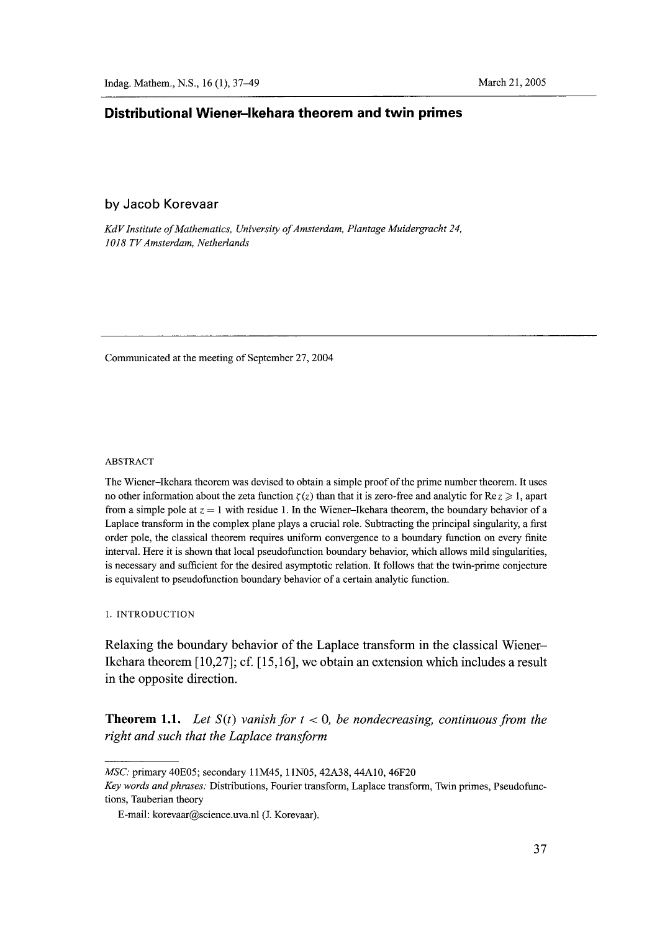## **Distributional Wiener-lkehara theorem and twin primes**

### by Jacob Korevaar

*KdV Institute of Mathematics, University of Amsterdam, Plantage Muidergracht 24, 1018 TV Amsterdarn, Netherlands* 

Communicated at the meeting of September 27, 2004

#### ABSTRACT

The Wiener-Ikehara theorem was devised to obtain a simple proof of the prime number theorem. It uses no other information about the zeta function  $\zeta(z)$  than that it is zero-free and analytic for Re $z\geq 1$ , apart from a simple pole at  $z = 1$  with residue 1. In the Wiener-Ikehara theorem, the boundary behavior of a Laplace transform in the complex plane plays a crucial role. Subtracting the principal singularity, a first order pole, the classical theorem requires uniform convergence to a boundary function on every finite interval. Here it is shown that local pseudofunction boundary behavior, which allows mild singularities, is necessary and sufficient for the desired asymptotic relation. It follows that the twin-prime conjecture is equivalent to pseudofunction boundary behavior of a certain analytic function.

1. INTRODUCTION

**Relaxing the boundary behavior of the Laplace transform in the classical Wiener-Ikehara theorem [ 10,27]; cf. [ 15,16], we obtain an extension which includes a result in the opposite direction.** 

**Theorem 1.1.** Let  $S(t)$  vanish for  $t < 0$ , be nondecreasing, continuous from the *right and such that the Laplace transform* 

*MSC:* primary 40E05; secondary 11M45, 11N05, 42A38, 44A10, 46F20

*Key words and phrases:* Distributions, Fourier transform, Laplace transform, Twin primes, Pseudofunctions, Tauberian theory

E-mail: korevaar@science.uva.nl (L Korevaar).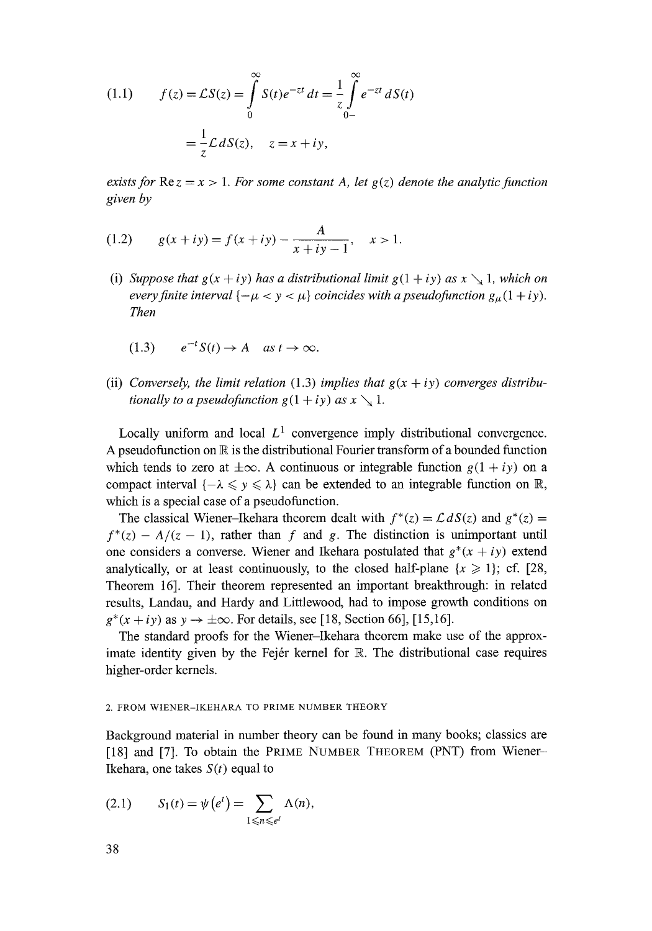(1.1) 
$$
f(z) = \mathcal{L}S(z) = \int_{0}^{\infty} S(t)e^{-zt} dt = \frac{1}{z} \int_{0-}^{\infty} e^{-zt} dS(t)
$$

$$
= \frac{1}{z} \mathcal{L} dS(z), \quad z = x + iy,
$$

*exists for*  $\text{Re } z = x > 1$ *. For some constant A, let g(z) denote the analytic function given by* 

(1.2) 
$$
g(x + iy) = f(x + iy) - \frac{A}{x + iy - 1}, \quad x > 1.
$$

- (i) *Suppose that*  $g(x + iy)$  *has a distributional limit*  $g(1 + iy)$  *as*  $x \searrow 1$ *, which on every finite interval*  $\{-\mu < y < \mu\}$  *coincides with a pseudofunction*  $g_{\mu}(1 + iy)$ *. Then* 
	- $(1.3)$   $e^{-t}S(t) \rightarrow A$  as  $t \rightarrow \infty$ .
- (ii) *Conversely, the limit relation* (1.3) *implies that*  $g(x + iy)$  *converges distributionally to a pseudofunction*  $g(1 + iy)$  *as x*  $\searrow$  1.

Locally uniform and local  $L^1$  convergence imply distributional convergence. A pseudofunction on  $\mathbb R$  is the distributional Fourier transform of a bounded function which tends to zero at  $\pm \infty$ . A continuous or integrable function  $g(1 + iy)$  on a compact interval  $\{-\lambda \leqslant y \leqslant \lambda\}$  can be extended to an integrable function on R, which is a special case of a pseudofunction.

The classical Wiener-Ikehara theorem dealt with  $f^*(z) = \mathcal{L} dS(z)$  and  $g^*(z) =$  $f^{*}(z) - A/(z - 1)$ , rather than f and g. The distinction is unimportant until one considers a converse. Wiener and Ikehara postulated that  $g^*(x + iy)$  extend analytically, or at least continuously, to the closed half-plane  $\{x \geq 1\}$ ; cf. [28, Theorem 16]. Their theorem represented an important breakthrough: in related results, Landau, and Hardy and Littlewood, had to impose growth conditions on  $g^*(x + iy)$  as  $y \to \pm \infty$ . For details, see [18, Section 66], [15,16].

The standard proofs for the Wiener-Ikehara theorem make use of the approximate identity given by the Fejér kernel for  $\mathbb R$ . The distributional case requires higher-order kernels.

### 2. FROM WIENER-IKEHARA TO PRIME NUMBER THEORY

Background material in number theory can be found in many books; classics are [18] and [7]. To obtain the PRIME NUMBER THEOREM (PNT) from Wiener-Ikehara, one takes  $S(t)$  equal to

$$
(2.1) \qquad S_1(t) = \psi(e^t) = \sum_{1 \leq n \leq e^t} \Lambda(n),
$$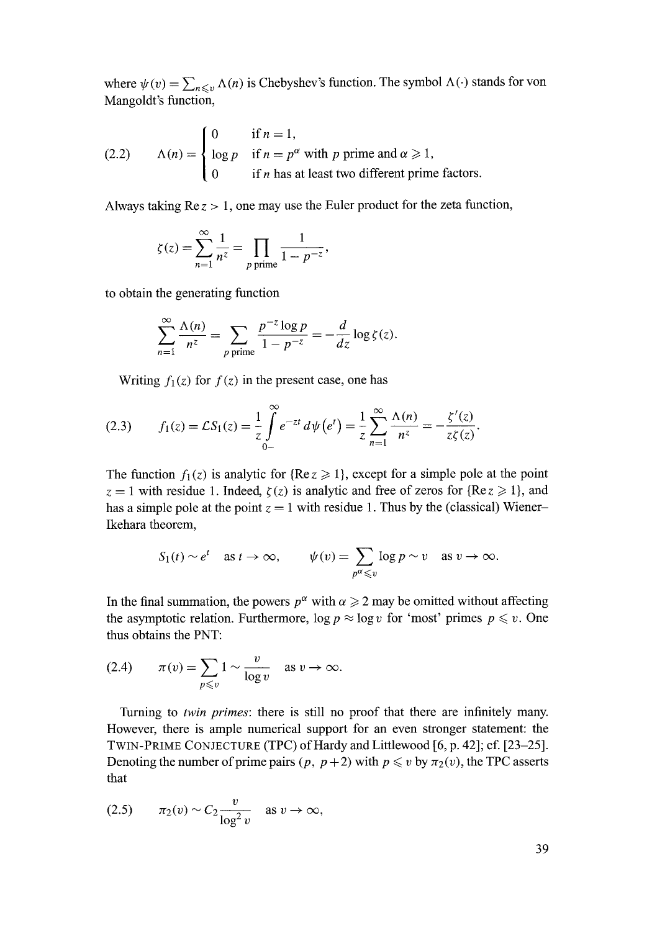where  $\psi(v) = \sum_{n \leq v} \Lambda(n)$  is Chebyshev's function. The symbol  $\Lambda(\cdot)$  stands for von Mangoldt's function,

(2.2) 
$$
\Lambda(n) = \begin{cases} 0 & \text{if } n = 1, \\ \log p & \text{if } n = p^{\alpha} \text{ with } p \text{ prime and } \alpha \ge 1, \\ 0 & \text{if } n \text{ has at least two different prime factors.} \end{cases}
$$

Always taking  $Re z > 1$ , one may use the Euler product for the zeta function,

$$
\zeta(z) = \sum_{n=1}^{\infty} \frac{1}{n^z} = \prod_{p \text{ prime}} \frac{1}{1 - p^{-z}},
$$

to obtain the generating function

$$
\sum_{n=1}^{\infty} \frac{\Lambda(n)}{n^z} = \sum_{p \text{ prime}} \frac{p^{-z} \log p}{1 - p^{-z}} = -\frac{d}{dz} \log \zeta(z).
$$

Writing  $f_1(z)$  for  $f(z)$  in the present case, one has

(2.3) 
$$
f_1(z) = \mathcal{L}S_1(z) = \frac{1}{z} \int_{0-}^{\infty} e^{-zt} d\psi(e^t) = \frac{1}{z} \sum_{n=1}^{\infty} \frac{\Lambda(n)}{n^z} = -\frac{\zeta'(z)}{z\zeta(z)}.
$$

The function  $f_1(z)$  is analytic for {Re  $z \ge 1$ }, except for a simple pole at the point  $z = 1$  with residue 1. Indeed,  $\zeta(z)$  is analytic and free of zeros for {Re $z \ge 1$ }, and has a simple pole at the point  $z = 1$  with residue 1. Thus by the (classical) Wiener-Ikehara theorem,

$$
S_1(t) \sim e^t
$$
 as  $t \to \infty$ ,  $\psi(v) = \sum_{p^{\alpha} \leq v} \log p \sim v$  as  $v \to \infty$ .

In the final summation, the powers  $p^{\alpha}$  with  $\alpha \geq 2$  may be omitted without affecting the asymptotic relation. Furthermore,  $\log p \approx \log v$  for 'most' primes  $p \leq v$ . One thus obtains the PNT:

(2.4) 
$$
\pi(v) = \sum_{p \leq v} 1 \sim \frac{v}{\log v} \quad \text{as } v \to \infty.
$$

Turning to *twin primes:* there is still no proof that there are infinitely many. However, there is ample numerical support for an even stronger statement: the TWIN-PRIME CONJECTURE (TPC) of Hardy and Littlewood [6, p. 42]; cf. [23-25]. Denoting the number of prime pairs  $(p, p+2)$  with  $p \leq v$  by  $\pi_2(v)$ , the TPC asserts that

$$
(2.5) \qquad \pi_2(v) \sim C_2 \frac{v}{\log^2 v} \quad \text{as } v \to \infty,
$$

39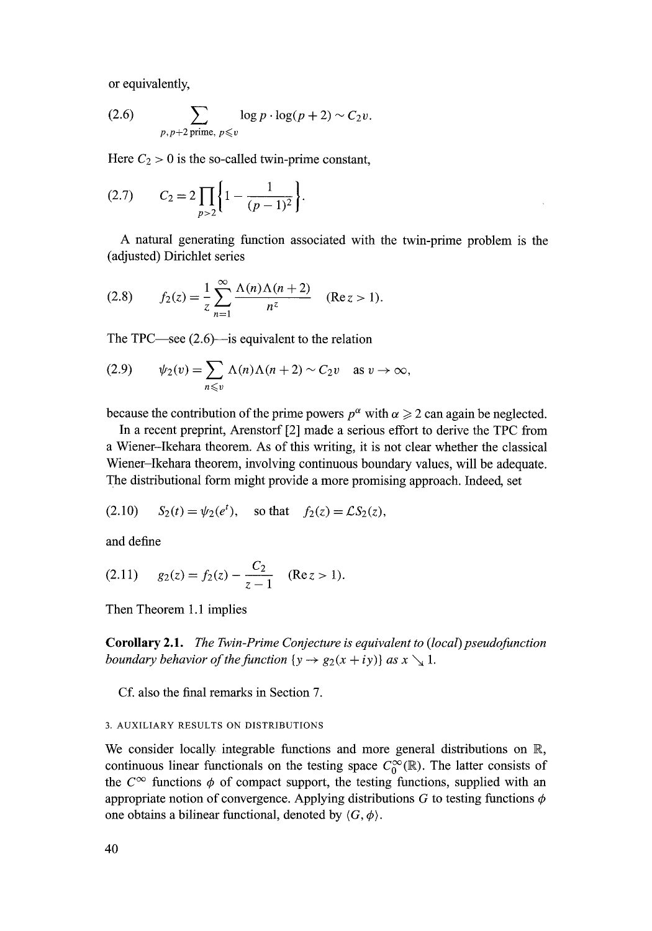or equivalently,

(2.6) 
$$
\sum_{p, p+2 \text{ prime}, p \leq v} \log p \cdot \log (p+2) \sim C_2 v.
$$

Here  $C_2 > 0$  is the so-called twin-prime constant,

$$
(2.7) \tC_2 = 2 \prod_{p>2} \left\{ 1 - \frac{1}{(p-1)^2} \right\}.
$$

A natural generating function associated with the twin-prime problem is the (adjusted) Dirichlet series

(2.8) 
$$
f_2(z) = \frac{1}{z} \sum_{n=1}^{\infty} \frac{\Lambda(n) \Lambda(n+2)}{n^z} \quad (\text{Re } z > 1).
$$

The TPC—see  $(2.6)$ —is equivalent to the relation

(2.9) 
$$
\psi_2(v) = \sum_{n \leq v} \Lambda(n) \Lambda(n+2) \sim C_2 v \text{ as } v \to \infty,
$$

because the contribution of the prime powers  $p^{\alpha}$  with  $\alpha \geq 2$  can again be neglected.

In a recent preprint, Arenstorf [2] made a serious effort to derive the TPC from a Wiener-Ikehara theorem. As of this writing, it is not clear whether the classical Wiener-Ikehara theorem, involving continuous boundary values, will be adequate. The distributional form might provide a more promising approach. Indeed, set

(2.10) 
$$
S_2(t) = \psi_2(e^t)
$$
, so that  $f_2(z) = \mathcal{L}S_2(z)$ ,

and define

(2.11) 
$$
g_2(z) = f_2(z) - \frac{C_2}{z-1}
$$
 (Re  $z > 1$ ).

Then Theorem 1.1 implies

Corollary 2.1. *The Twin-Prime Conjecture is equivalent to (local) pseudofunction boundary behavior of the function*  $\{y \rightarrow g_2(x + iy)\}\$ *as*  $x \searrow 1$ *.* 

Cf. also the final remarks in Section 7.

## 3. AUXILIARY RESULTS ON DISTRIBUTIONS

We consider locally integrable functions and more general distributions on R, continuous linear functionals on the testing space  $C_0^{\infty}(\mathbb{R})$ . The latter consists of the  $C^{\infty}$  functions  $\phi$  of compact support, the testing functions, supplied with an appropriate notion of convergence. Applying distributions G to testing functions  $\phi$ one obtains a bilinear functional, denoted by  $\langle G, \phi \rangle$ .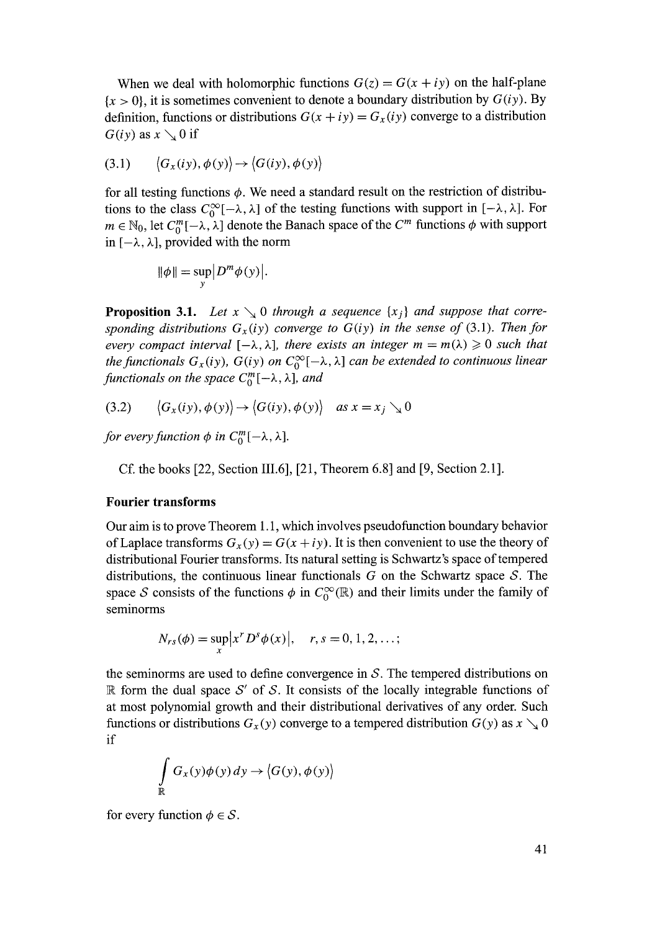When we deal with holomorphic functions  $G(z) = G(x + iy)$  on the half-plane  ${x > 0}$ , it is sometimes convenient to denote a boundary distribution by  $G(iy)$ . By definition, functions or distributions  $G(x + iy) = G_x(iy)$  converge to a distribution  $G(iy)$  as  $x \searrow 0$  if

$$
(3.1) \qquad \langle G_x(iy), \phi(y) \rangle \rightarrow \langle G(iy), \phi(y) \rangle
$$

for all testing functions  $\phi$ . We need a standard result on the restriction of distributions to the class  $C_0^{\infty}[-\lambda, \lambda]$  of the testing functions with support in  $[-\lambda, \lambda]$ . For  $m \in \mathbb{N}_0$ , let  $C_0^m[-\lambda, \lambda]$  denote the Banach space of the  $C^m$  functions  $\phi$  with support in  $[-\lambda, \lambda]$ , provided with the norm

$$
\|\phi\| = \sup_{y} \left| D^m \phi(y) \right|.
$$

**Proposition 3.1.** Let  $x \searrow 0$  through a sequence  $\{x_i\}$  and suppose that corre*sponding distributions*  $G_x(iy)$  *converge to*  $G(iy)$  *in the sense of* (3.1). Then for *every compact interval*  $[-\lambda, \lambda]$ , there exists an integer  $m = m(\lambda) \geq 0$  such that *the functionals*  $G_x(iy)$ ,  $G(iy)$  on  $C_0^{\infty}[-\lambda, \lambda]$  can be extended to continuous linear *functionals on the space*  $C_0^m[-\lambda, \lambda]$ *, and* 

$$
(3.2) \qquad \langle G_x(iy), \phi(y) \rangle \to \langle G(iy), \phi(y) \rangle \quad \text{as } x = x_j \searrow 0
$$

*for every function*  $\phi$  *in C*<sup> $m$ </sup>[- $\lambda$ ,  $\lambda$ ].

Cf. the books [22, Section III.6], [21, Theorem 6.8] and [9, Section 2.1].

### **Fourier transforms**

Our aim is to prove Theorem 1.1, which involves pseudofunction boundary behavior of Laplace transforms  $G_x(y) = G(x + iy)$ . It is then convenient to use the theory of distributional Fourier transforms. Its natural setting is Schwartz's space of tempered distributions, the continuous linear functionals  $G$  on the Schwartz space  $S$ . The space S consists of the functions  $\phi$  in  $C_0^{\infty}(\mathbb{R})$  and their limits under the family of seminorms

$$
N_{rs}(\phi) = \sup_{x} |x^{r} D^{s} \phi(x)|, \quad r, s = 0, 1, 2, ...;
$$

the seminorms are used to define convergence in  $S$ . The tempered distributions on R form the dual space  $S'$  of S. It consists of the locally integrable functions of at most polynomial growth and their distributional derivatives of any order. Such functions or distributions  $G_x(y)$  converge to a tempered distribution  $G(y)$  as  $x \searrow 0$ if

$$
\int_{\mathbb{R}} G_x(y)\phi(y) dy \rightarrow \langle G(y), \phi(y) \rangle
$$

for every function  $\phi \in S$ .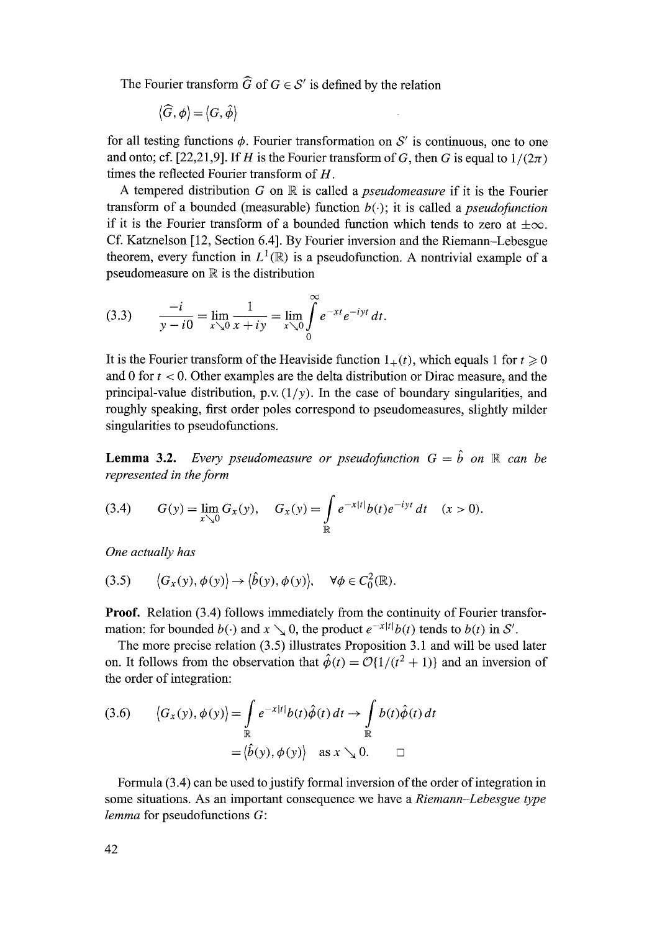The Fourier transform  $\widehat{G}$  of  $G \in \mathcal{S}'$  is defined by the relation

$$
\langle \widehat{G}, \phi \rangle \!=\! \langle G, \hat{\phi} \rangle
$$

for all testing functions  $\phi$ . Fourier transformation on S' is continuous, one to one and onto; cf. [22,21,9]. If H is the Fourier transform of G, then G is equal to  $1/(2\pi)$ times the reflected Fourier transform of  $H$ .

A tempered distribution G on IR is called a *pseudomeasure* if it is the Fourier transform of a bounded (measurable) function  $b(\cdot)$ ; it is called a *pseudofunction* if it is the Fourier transform of a bounded function which tends to zero at  $\pm \infty$ . Cf. Katznelson [12, Section 6.4]. By Fourier inversion and the Riemann-Lebesgue theorem, every function in  $L^1(\mathbb{R})$  is a pseudofunction. A nontrivial example of a pseudomeasure on  $\mathbb R$  is the distribution

(3.3) 
$$
\frac{-i}{y - i0} = \lim_{x \searrow 0} \frac{1}{x + iy} = \lim_{x \searrow 0} \int_{0}^{\infty} e^{-xt} e^{-iyt} dt.
$$

It is the Fourier transform of the Heaviside function  $1_{+}(t)$ , which equals 1 for  $t \ge 0$ and 0 for  $t < 0$ . Other examples are the delta distribution or Dirac measure, and the principal-value distribution, p.v.  $(1/y)$ . In the case of boundary singularities, and roughly speaking, first order poles correspond to pseudomeasures, slightly milder singularities to pseudofunctions.

**Lemma 3.2.**  *Every pseudomeasure or pseudofunction G = b on R can be represented in the form* 

(3.4) 
$$
G(y) = \lim_{x \searrow 0} G_x(y), \quad G_x(y) = \int_{\mathbb{R}} e^{-x|t|} b(t) e^{-iyt} dt \quad (x > 0).
$$

*One actually has* 

$$
(3.5) \qquad \langle G_x(y), \phi(y) \rangle \to \langle \hat{b}(y), \phi(y) \rangle, \quad \forall \phi \in C_0^2(\mathbb{R}).
$$

Proof. Relation (3.4) follows immediately from the continuity of Fourier transformation: for bounded  $b(\cdot)$  and  $x \searrow 0$ , the product  $e^{-x|t|}b(t)$  tends to  $b(t)$  in S'.

The more precise relation (3.5) illustrates Proposition 3.1 and will be used later on. It follows from the observation that  $\hat{\phi}(t) = \mathcal{O}{1/(t^2 + 1)}$  and an inversion of the order of integration:

(3.6) 
$$
\langle G_x(y), \phi(y) \rangle = \int_{\mathbb{R}} e^{-x|t|} b(t) \hat{\phi}(t) dt \rightarrow \int_{\mathbb{R}} b(t) \hat{\phi}(t) dt
$$

$$
= \langle \hat{b}(y), \phi(y) \rangle \text{ as } x \searrow 0. \qquad \Box
$$

Formula (3.4) can be used to justify formal inversion of the order of integration in some situations. As an important consequence we have a *Riemann-Lebesgue type lemma* for pseudofunctions G: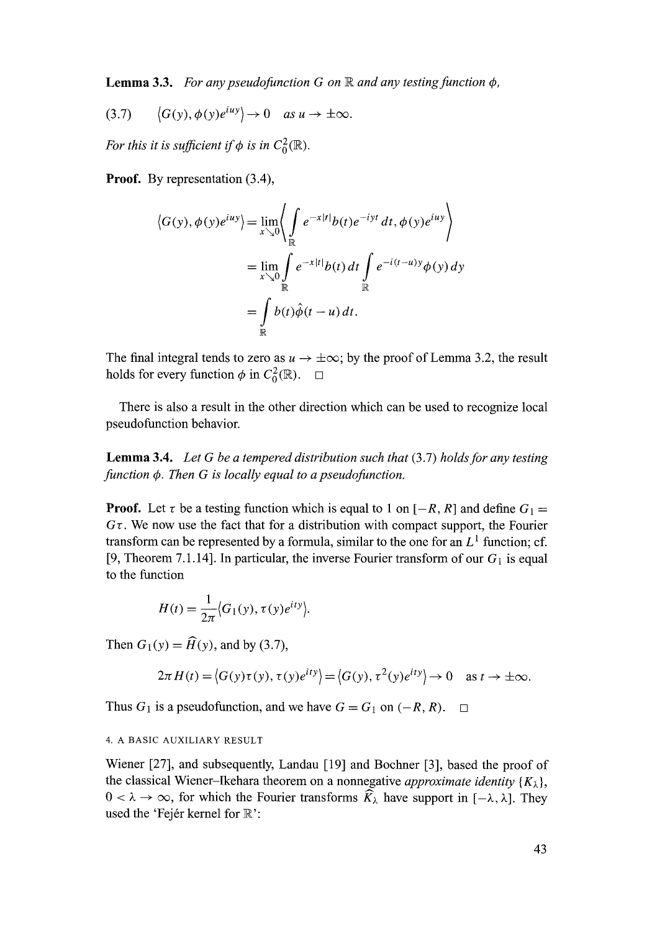**Lemma 3.3.** *For any pseudofunction G on*  $\mathbb R$  *and any testing function*  $\phi$ *,* 

$$
(3.7) \qquad \left\langle G(y), \phi(y)e^{iuy}\right\rangle \to 0 \quad \text{as } u \to \pm \infty.
$$

*For this it is sufficient if*  $\phi$  *is in C*<sub> $0$ </sub> $(\mathbb{R})$ *.* 

Proof. By representation  $(3.4)$ ,

$$
\langle G(y), \phi(y)e^{iuy}\rangle = \lim_{x \searrow 0} \left\langle \int_{\mathbb{R}} e^{-x|t|} b(t) e^{-iyt} dt, \phi(y)e^{iuy} \right\rangle
$$
  

$$
= \lim_{x \searrow 0} \int_{\mathbb{R}} e^{-x|t|} b(t) dt \int_{\mathbb{R}} e^{-i(t-u)y} \phi(y) dy
$$
  

$$
= \int_{\mathbb{R}} b(t) \hat{\phi}(t-u) dt.
$$

The final integral tends to zero as  $u \to \pm \infty$ ; by the proof of Lemma 3.2, the result holds for every function  $\phi$  in  $C_0^2(\mathbb{R})$ .  $\Box$ 

There is also a result in the other direction which can be used to recognize local pseudofunction behavior.

Lemma 3.4. *Let G be a tempered distribution such that* (3.7) *holds for any testing function 4). Then G is locally equal to a pseudofunction.* 

**Proof.** Let  $\tau$  be a testing function which is equal to 1 on  $[-R, R]$  and define  $G_1 =$  $G\tau$ . We now use the fact that for a distribution with compact support, the Fourier transform can be represented by a formula, similar to the one for an  $L^1$  function; cf. [9, Theorem 7.1.14]. In particular, the inverse Fourier transform of our  $G_1$  is equal to the function

$$
H(t) = \frac{1}{2\pi} \langle G_1(y), \tau(y) e^{ity} \rangle.
$$

Then  $G_1(y) = \widehat{H}(y)$ , and by (3.7),

$$
2\pi H(t) = \langle G(y)\tau(y), \tau(y)e^{ity} \rangle = \langle G(y), \tau^2(y)e^{ity} \rangle \to 0 \quad \text{as } t \to \pm \infty.
$$

Thus  $G_1$  is a pseudofunction, and we have  $G = G_1$  on  $(-R, R)$ .  $\Box$ 

# 4. A BASIC AUXILIARY RESULT

Wiener [27], and subsequently, Landau [19] and Bochner [3], based the proof of the classical Wiener-Ikehara theorem on a nonnegative *approximate identity*  ${K_{\lambda}}$ ,  $0 < \lambda \to \infty$ , for which the Fourier transforms  $\widehat{K}_{\lambda}$  have support in  $[-\lambda, \lambda]$ . They used the 'Fejér kernel for  $\mathbb{R}$ ':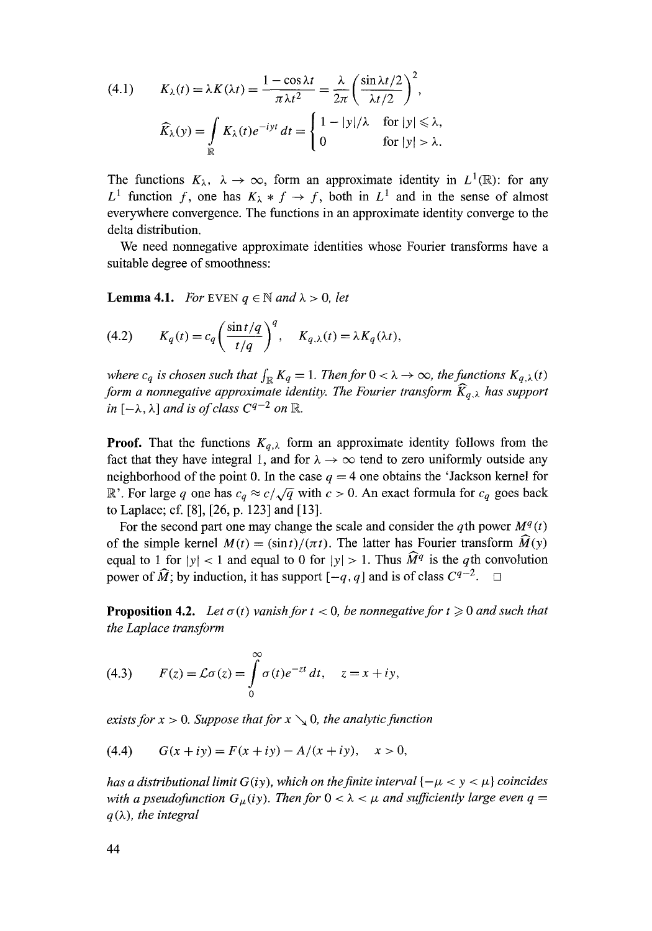(4.1) 
$$
K_{\lambda}(t) = \lambda K(\lambda t) = \frac{1 - \cos \lambda t}{\pi \lambda t^2} = \frac{\lambda}{2\pi} \left( \frac{\sin \lambda t / 2}{\lambda t / 2} \right)^2,
$$

$$
\widehat{K}_{\lambda}(y) = \int_{\mathbb{R}} K_{\lambda}(t) e^{-iyt} dt = \begin{cases} 1 - |y|/\lambda & \text{for } |y| \le \lambda, \\ 0 & \text{for } |y| > \lambda. \end{cases}
$$

The functions  $K_{\lambda}$ ,  $\lambda \to \infty$ , form an approximate identity in  $L^1(\mathbb{R})$ : for any  $L^1$  function f, one has  $K_\lambda * f \to f$ , both in  $L^1$  and in the sense of almost everywhere convergence. The functions in an approximate identity converge to the delta distribution.

We need nonnegative approximate identities whose Fourier transforms have a suitable degree of smoothness:

**Lemma 4.1.** *For* EVEN  $q \in \mathbb{N}$  and  $\lambda > 0$ , let

(4.2) 
$$
K_q(t) = c_q \left(\frac{\sin t/q}{t/q}\right)^q, \quad K_{q,\lambda}(t) = \lambda K_q(\lambda t),
$$

*where c<sub>q</sub> is chosen such that*  $\int_{\mathbb{R}} K_q = 1$ *. Then for*  $0 < \lambda \to \infty$ *, the functions*  $K_{q,\lambda}(t)$ *form a nonnegative approximate identity. The Fourier transform*  $\widehat{K}_{q,\lambda}$  has support *in*  $[-\lambda, \lambda]$  *and is of class*  $C^{q-2}$  *on*  $\mathbb{R}$ *.* 

**Proof.** That the functions  $K_{q,\lambda}$  form an approximate identity follows from the fact that they have integral 1, and for  $\lambda \rightarrow \infty$  tend to zero uniformly outside any neighborhood of the point 0. In the case  $q = 4$  one obtains the 'Jackson kernel for R'. For large q one has  $c_q \approx c/\sqrt{q}$  with  $c > 0$ . An exact formula for  $c_q$  goes back to Laplace; cf. [8], [26, p. 123] and [13].

For the second part one may change the scale and consider the qth power  $M<sup>q</sup>(t)$ of the simple kernel  $M(t) = (\sin t)/(\pi t)$ . The latter has Fourier transform  $\widehat{M}(y)$ equal to 1 for  $|y| < 1$  and equal to 0 for  $|y| > 1$ . Thus  $\widehat{M}^q$  is the qth convolution power of  $\widehat{M}$ ; by induction, it has support  $[-q, q]$  and is of class  $C^{q-2}$ .  $\Box$ 

**Proposition 4.2.** Let  $\sigma(t)$  vanish for  $t < 0$ , be nonnegative for  $t \ge 0$  and such that *the Laplace transform* 

(4.3) 
$$
F(z) = \mathcal{L}\sigma(z) = \int_{0}^{\infty} \sigma(t)e^{-zt} dt, \quad z = x + iy,
$$

*exists for*  $x > 0$ *. Suppose that for*  $x \searrow 0$ *, the analytic function* 

(4.4) 
$$
G(x + iy) = F(x + iy) - A/(x + iy), \quad x > 0,
$$

*has a distributional limit G(iy), which on the finite interval*  $\{-\mu < y < \mu\}$  *coincides* with a pseudofunction  $G_u(iy)$ . Then for  $0 < \lambda < \mu$  and sufficiently large even  $q =$  $q(\lambda)$ , the integral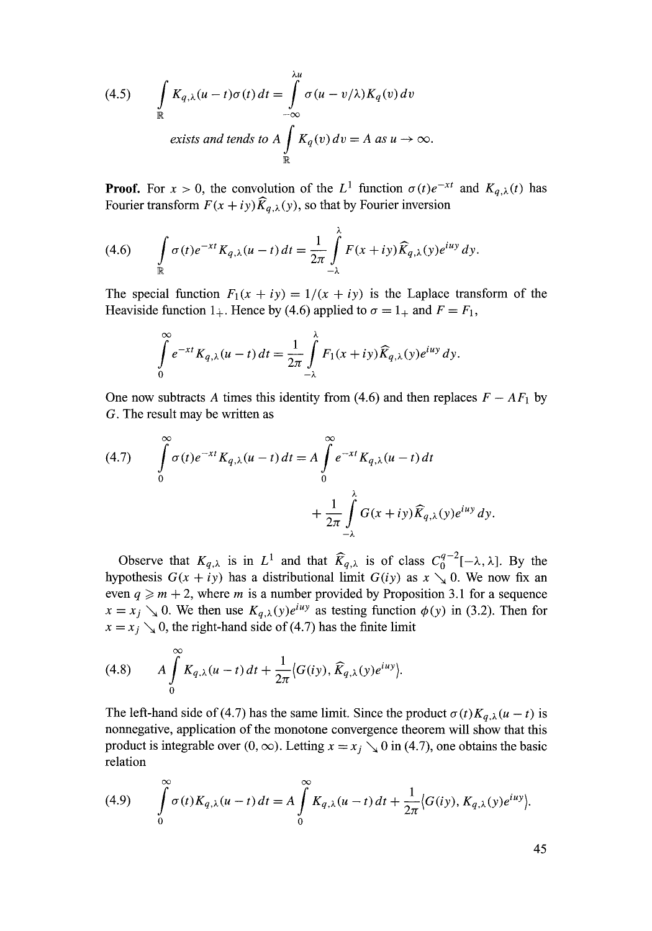(4.5) 
$$
\int_{\mathbb{R}} K_{q,\lambda}(u-t)\sigma(t) dt = \int_{-\infty}^{\lambda u} \sigma(u-v/\lambda) K_q(v) dv
$$
  
exists and tends to  $A \int_{\mathbb{R}} K_q(v) dv = A \text{ as } u \to \infty$ .

**Proof.** For  $x > 0$ , the convolution of the  $L^1$  function  $\sigma(t)e^{-xt}$  and  $K_{q,\lambda}(t)$  has Fourier transform  $F(x + iy) \hat{K}_{q,\lambda}(y)$ , so that by Fourier inversion

(4.6) 
$$
\int_{\mathbb{R}} \sigma(t) e^{-xt} K_{q,\lambda}(u-t) dt = \frac{1}{2\pi} \int_{-\lambda}^{\lambda} F(x+iy) \widehat{K}_{q,\lambda}(y) e^{iuy} dy.
$$

The special function  $F_1(x + iy) = 1/(x + iy)$  is the Laplace transform of the Heaviside function  $1_+$ . Hence by (4.6) applied to  $\sigma = 1_+$  and  $F = F_1$ ,

$$
\int_{0}^{\infty} e^{-xt} K_{q,\lambda}(u-t) dt = \frac{1}{2\pi} \int_{-\lambda}^{\lambda} F_1(x+iy) \widehat{K}_{q,\lambda}(y) e^{iuy} dy.
$$

One now subtracts A times this identity from (4.6) and then replaces  $F - AF_1$  by G. The result may be written as

(4.7) 
$$
\int_{0}^{\infty} \sigma(t)e^{-xt}K_{q,\lambda}(u-t) dt = A \int_{0}^{\infty} e^{-xt}K_{q,\lambda}(u-t) dt + \frac{1}{2\pi} \int_{-\lambda}^{\lambda} G(x+iy)\widehat{K}_{q,\lambda}(y)e^{iuy} dy.
$$

Observe that  $K_{q,\lambda}$  is in  $L^1$  and that  $\widehat{K}_{q,\lambda}$  is of class  $C_0^{q-2}[-\lambda,\lambda]$ . By the hypothesis  $G(x + iy)$  has a distributional limit  $G(iy)$  as  $x \searrow 0$ . We now fix an even  $q \ge m + 2$ , where m is a number provided by Proposition 3.1 for a sequence  $x = x_j \searrow 0$ . We then use  $K_{q,\lambda}(y)e^{i\mu y}$  as testing function  $\phi(y)$  in (3.2). Then for  $x = x_j$  %, the right-hand side of (4.7) has the finite limit

(4.8) 
$$
A \int_{0}^{\infty} K_{q,\lambda}(u-t) dt + \frac{1}{2\pi} \langle G(iy), \widehat{K}_{q,\lambda}(y)e^{iuy} \rangle.
$$

The left-hand side of (4.7) has the same limit. Since the product  $\sigma(t)K_{q,\lambda}(u-t)$  is nonnegative, application of the monotone convergence theorem will show that this product is integrable over  $(0, \infty)$ . Letting  $x = x_j \searrow 0$  in (4.7), one obtains the basic relation

(4.9) 
$$
\int_{0}^{\infty} \sigma(t) K_{q,\lambda}(u-t) dt = A \int_{0}^{\infty} K_{q,\lambda}(u-t) dt + \frac{1}{2\pi} \langle G(iy), K_{q,\lambda}(y) e^{iuy} \rangle.
$$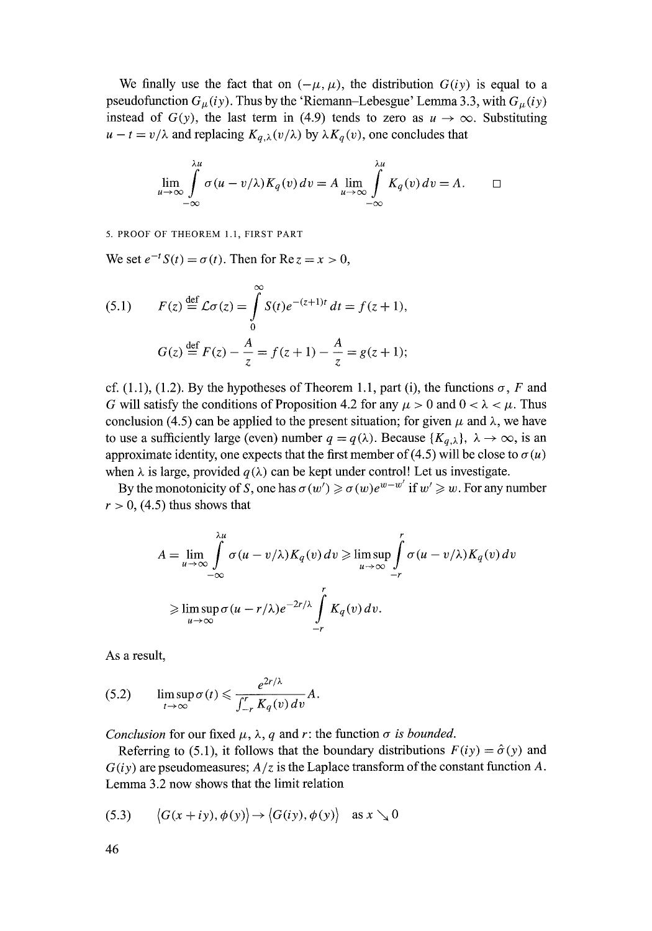We finally use the fact that on  $(-\mu, \mu)$ , the distribution  $G(iy)$  is equal to a pseudofunction  $G_{\mu}(iy)$ . Thus by the 'Riemann-Lebesgue' Lemma 3.3, with  $G_{\mu}(iy)$ instead of  $G(y)$ , the last term in (4.9) tends to zero as  $u \to \infty$ . Substituting  $u - t = v/\lambda$  and replacing  $K_{q,\lambda}(v/\lambda)$  by  $\lambda K_q(v)$ , one concludes that

$$
\lim_{u \to \infty} \int_{-\infty}^{\lambda u} \sigma(u - v/\lambda) K_q(v) dv = A \lim_{u \to \infty} \int_{-\infty}^{\lambda u} K_q(v) dv = A.
$$

5. PROOF OF THEOREM 1.1, FIRST PART

We set  $e^{-t}S(t) = \sigma(t)$ . Then for Re  $z = x > 0$ ,

(5.1) 
$$
F(z) \stackrel{\text{def}}{=} \mathcal{L}\sigma(z) = \int_{0}^{\infty} S(t)e^{-(z+1)t} dt = f(z+1),
$$

$$
G(z) \stackrel{\text{def}}{=} F(z) - \frac{A}{z} = f(z+1) - \frac{A}{z} = g(z+1);
$$

cf. (1.1), (1.2). By the hypotheses of Theorem 1.1, part (i), the functions  $\sigma$ , F and G will satisfy the conditions of Proposition 4.2 for any  $\mu > 0$  and  $0 < \lambda < \mu$ . Thus conclusion (4.5) can be applied to the present situation; for given  $\mu$  and  $\lambda$ , we have to use a sufficiently large (even) number  $q = q(\lambda)$ . Because  $\{K_{q,\lambda}\}, \lambda \to \infty$ , is an approximate identity, one expects that the first member of (4.5) will be close to  $\sigma(u)$ when  $\lambda$  is large, provided  $q(\lambda)$  can be kept under control! Let us investigate.

By the monotonicity of S, one has  $\sigma(w') \geq \sigma(w)e^{w-w'}$  if  $w' \geq w$ . For any number  $r > 0$ , (4.5) thus shows that

$$
A = \lim_{u \to \infty} \int_{-\infty}^{\lambda u} \sigma(u - v/\lambda) K_q(v) dv \ge \limsup_{u \to \infty} \int_{-r}^{r} \sigma(u - v/\lambda) K_q(v) dv
$$
  

$$
\ge \limsup_{u \to \infty} \sigma(u - r/\lambda) e^{-2r/\lambda} \int_{-r}^{r} K_q(v) dv.
$$

As a result,

$$
(5.2) \qquad \limsup_{t\to\infty}\sigma(t)\leqslant \frac{e^{2r/\lambda}}{\int_{-r}^r K_q(v)\,dv}A.
$$

*Conclusion* for our fixed  $\mu$ ,  $\lambda$ , q and r: the function  $\sigma$  *is bounded.* 

Referring to (5.1), it follows that the boundary distributions  $F(iy) = \hat{\sigma}(y)$  and *G(iy)* are pseudomeasures; *A/z* is the Laplace transform of the constant function A. Lemma 3.2 now shows that the limit relation

(5.3) 
$$
\langle G(x+iy), \phi(y) \rangle \rightarrow \langle G(iy), \phi(y) \rangle
$$
 as  $x \searrow 0$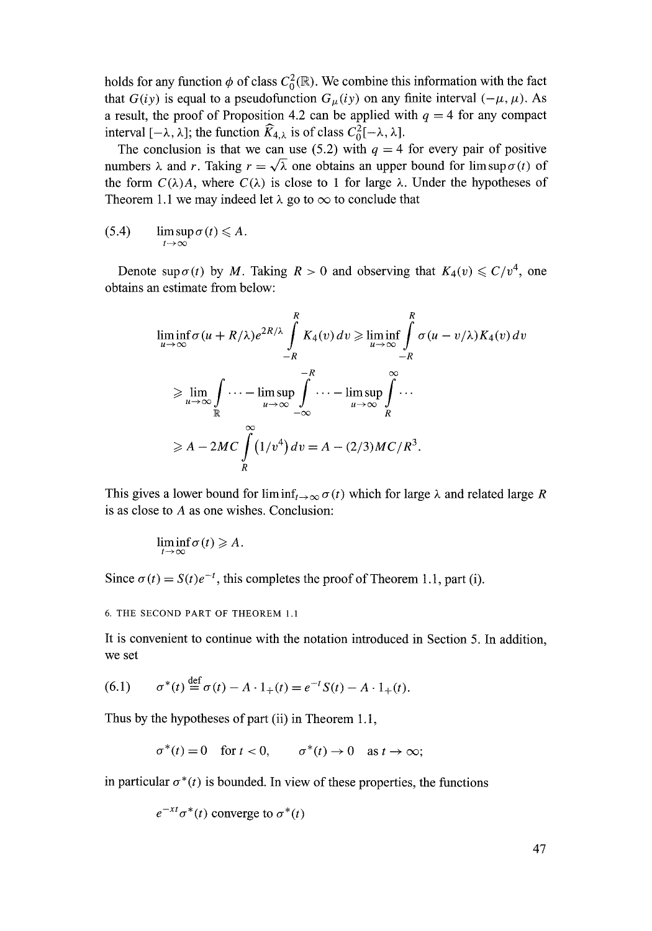holds for any function  $\phi$  of class  $C_0^2(\mathbb{R})$ . We combine this information with the fact that *G(iy)* is equal to a pseudofunction  $G_{\mu}(iy)$  on any finite interval  $(-\mu, \mu)$ . As a result, the proof of Proposition 4.2 can be applied with  $q = 4$  for any compact interval  $[-\lambda, \lambda]$ ; the function  $\widehat{K}_{4,\lambda}$  is of class  $C_0^2[-\lambda, \lambda]$ .

The conclusion is that we can use (5.2) with  $q = 4$  for every pair of positive numbers  $\lambda$  and r. Taking  $r = \sqrt{\lambda}$  one obtains an upper bound for limsup  $\sigma(t)$  of the form  $C(\lambda)A$ , where  $C(\lambda)$  is close to 1 for large  $\lambda$ . Under the hypotheses of Theorem 1.1 we may indeed let  $\lambda$  go to  $\infty$  to conclude that

$$
(5.4) \qquad \limsup_{t\to\infty}\sigma(t)\leqslant A.
$$

Denote sup  $\sigma(t)$  by M. Taking  $R > 0$  and observing that  $K_4(v) \leq C/v^4$ , one obtains an estimate from below:

$$
\liminf_{u \to \infty} \sigma(u + R/\lambda) e^{2R/\lambda} \int_{-R}^{R} K_4(v) dv \ge \liminf_{u \to \infty} \int_{-R}^{R} \sigma(u - v/\lambda) K_4(v) dv
$$
  
\n
$$
\ge \lim_{u \to \infty} \int_{\mathbb{R}} \cdots - \limsup_{u \to \infty} \int_{-\infty}^{-R} \cdots - \limsup_{u \to \infty} \int_{R}^{\infty} \cdots
$$
  
\n
$$
\ge A - 2MC \int_{R}^{\infty} (1/v^4) dv = A - (2/3)MC/R^3.
$$

This gives a lower bound for liminf<sub>t  $\rightarrow \infty$ </sub>  $\sigma(t)$  which for large  $\lambda$  and related large R is as close to A as one wishes. Conclusion:

$$
\liminf_{t\to\infty}\sigma(t)\geqslant A.
$$

Since  $\sigma(t) = S(t)e^{-t}$ , this completes the proof of Theorem 1.1, part (i).

6. THE SECOND PART OF THEOREM 1.1

It is convenient to continue with the notation introduced in Section 5. In addition, we set

(6.1) 
$$
\sigma^*(t) \stackrel{\text{def}}{=} \sigma(t) - A \cdot 1_+(t) = e^{-t} S(t) - A \cdot 1_+(t).
$$

Thus by the hypotheses of part (ii) in Theorem 1.1,

$$
\sigma^*(t) = 0 \quad \text{for } t < 0, \qquad \sigma^*(t) \to 0 \quad \text{as } t \to \infty;
$$

in particular  $\sigma^*(t)$  is bounded. In view of these properties, the functions

$$
e^{-xt}\sigma^*(t)
$$
 converge to  $\sigma^*(t)$ 

47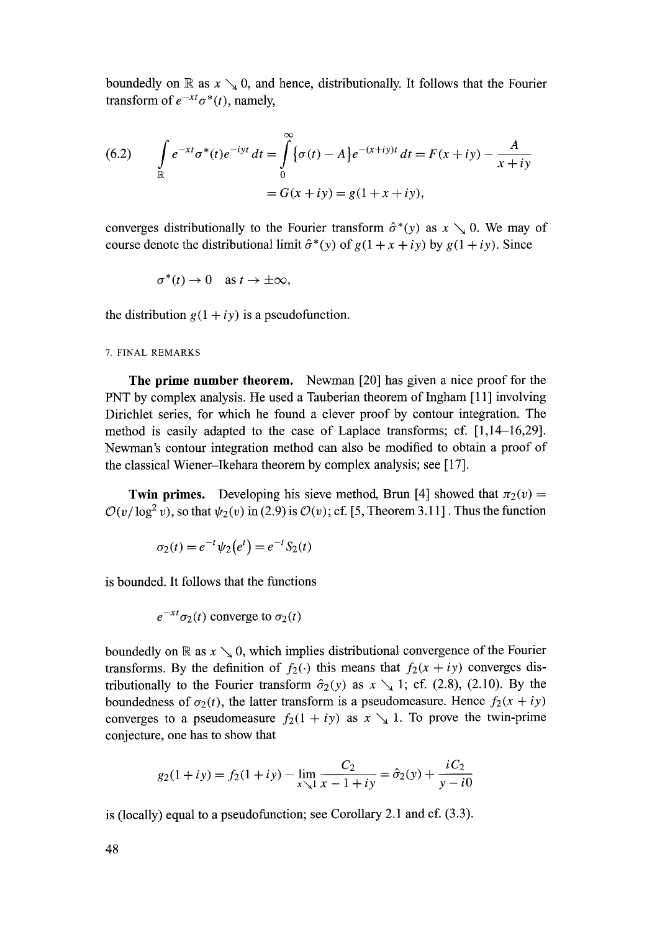boundedly on R as  $x \searrow 0$ , and hence, distributionally. It follows that the Fourier transform of  $e^{-xt} \sigma^*(t)$ , namely,

(6.2) 
$$
\int_{\mathbb{R}} e^{-xt} \sigma^*(t) e^{-iyt} dt = \int_{0}^{\infty} {\sigma(t) - A} e^{-(x+iy)t} dt = F(x+iy) - \frac{A}{x+iy}
$$

$$
= G(x+iy) = g(1+x+iy),
$$

converges distributionally to the Fourier transform  $\hat{\sigma}^*(y)$  as  $x \searrow 0$ . We may of course denote the distributional limit  $\hat{\sigma}^*(y)$  of  $g(1 + x + iy)$  by  $g(1 + iy)$ . Since

$$
\sigma^*(t) \to 0 \quad \text{as } t \to \pm \infty,
$$

the distribution  $g(1 + iy)$  is a pseudofunction.

7. FINAL REMARKS

**The** prime number theorem. Newman [20] has given a nice proof for the PNT by complex analysis. He used a Tauberian theorem of Ingham [11] involving Dirichlet series, for which he found a clever proof by contour integration. The method is easily adapted to the case of Laplace transforms; cf. [1,14-16,29]. Newman's contour integration method can also be modified to obtain a proof of the classical Wiener-Ikehara theorem by complex analysis; see [ 17].

**Twin primes.** Developing his sieve method, Brun [4] showed that  $\pi_2(v)$  =  $O(v/\log^2 v)$ , so that  $\psi_2(v)$  in (2.9) is  $O(v)$ ; cf. [5, Theorem 3.11]. Thus the function

$$
\sigma_2(t) = e^{-t} \psi_2(e^t) = e^{-t} S_2(t)
$$

is bounded. It follows that the functions

 $e^{-xt}\sigma_2(t)$  converge to  $\sigma_2(t)$ 

boundedly on R as  $x \searrow 0$ , which implies distributional convergence of the Fourier transforms. By the definition of  $f_2(\cdot)$  this means that  $f_2(x + iy)$  converges distributionally to the Fourier transform  $\hat{\sigma}_2(y)$  as  $x \searrow 1$ ; cf. (2.8), (2.10). By the boundedness of  $\sigma_2(t)$ , the latter transform is a pseudomeasure. Hence  $f_2(x + iy)$ converges to a pseudomeasure  $f_2(1 + iy)$  as  $x \searrow 1$ . To prove the twin-prime conjecture, one has to show that

$$
g_2(1+iy) = f_2(1+iy) - \lim_{x \searrow 1} \frac{C_2}{x-1+iy} = \hat{\sigma}_2(y) + \frac{iC_2}{y-i0}
$$

is (locally) equal to a pseudofunction; see Corollary 2.1 and cf. (3.3).